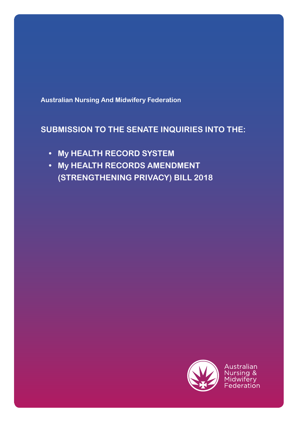**Australian Nursing And Midwifery Federation**

# **SUBMISSION TO THE SENATE INQUIRIES INTO THE:**

- **• My HEALTH RECORD SYSTEM**
- **• My HEALTH RECORDS AMENDMENT (STRENGTHENING PRIVACY) BILL 2018**

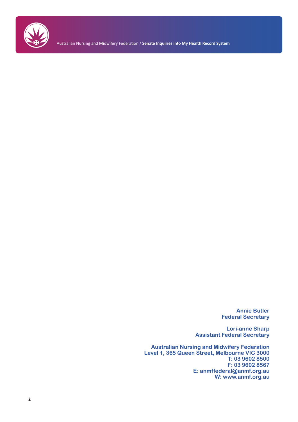

Australian Nursing and Midwifery Federation / **Senate Inquiries into My Health Record System**

**Annie Butler Federal Secretary**

**Lori-anne Sharp Assistant Federal Secretary**

**Australian Nursing and Midwifery Federation Level 1, 365 Queen Street, Melbourne VIC 3000 T: 03 9602 8500 F: 03 9602 8567 E: anmffederal@anmf.org.au W: www.anmf.org.au**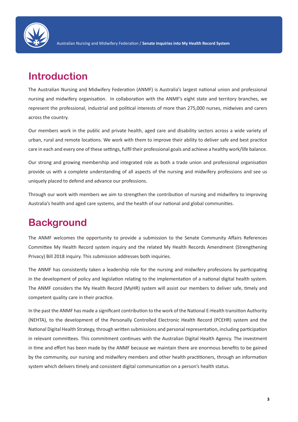

# **Introduction**

The Australian Nursing and Midwifery Federation (ANMF) is Australia's largest national union and professional nursing and midwifery organisation. In collaboration with the ANMF's eight state and territory branches, we represent the professional, industrial and political interests of more than 275,000 nurses, midwives and carers across the country.

Our members work in the public and private health, aged care and disability sectors across a wide variety of urban, rural and remote locations. We work with them to improve their ability to deliver safe and best practice care in each and every one of these settings, fulfil their professional goals and achieve a healthy work/life balance.

Our strong and growing membership and integrated role as both a trade union and professional organisation provide us with a complete understanding of all aspects of the nursing and midwifery professions and see us uniquely placed to defend and advance our professions.

Through our work with members we aim to strengthen the contribution of nursing and midwifery to improving Australia's health and aged care systems, and the health of our national and global communities.

# **Background**

The ANMF welcomes the opportunity to provide a submission to the Senate Community Affairs References Committee My Health Record system inquiry and the related My Health Records Amendment (Strengthening Privacy) Bill 2018 inquiry. This submission addresses both inquiries.

The ANMF has consistently taken a leadership role for the nursing and midwifery professions by participating in the development of policy and legislation relating to the implementation of a national digital health system. The ANMF considers the My Health Record (MyHR) system will assist our members to deliver safe, timely and competent quality care in their practice.

In the past the ANMF has made a significant contribution to the work of the National E-Health transition Authority (NEHTA), to the development of the Personally Controlled Electronic Health Record (PCEHR) system and the National Digital Health Strategy, through written submissions and personal representation, including participation in relevant committees. This commitment continues with the Australian Digital Health Agency. The investment in time and effort has been made by the ANMF because we maintain there are enormous benefits to be gained by the community, our nursing and midwifery members and other health practitioners, through an information system which delivers timely and consistent digital communication on a person's health status.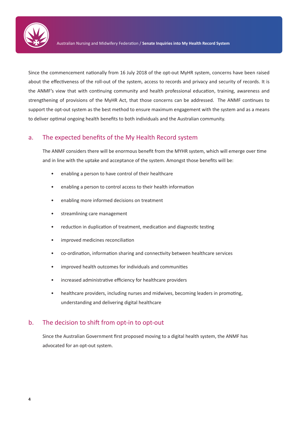

Since the commencement nationally from 16 July 2018 of the opt-out MyHR system, concerns have been raised about the effectiveness of the roll-out of the system, access to records and privacy and security of records. It is the ANMF's view that with continuing community and health professional education, training, awareness and strengthening of provisions of the MyHR Act, that those concerns can be addressed. The ANMF continues to support the opt-out system as the best method to ensure maximum engagement with the system and as a means to deliver optimal ongoing health benefits to both individuals and the Australian community.

### a. The expected benefits of the My Health Record system

The ANMF considers there will be enormous benefit from the MYHR system, which will emerge over time and in line with the uptake and acceptance of the system. Amongst those benefits will be:

- enabling a person to have control of their healthcare
- enabling a person to control access to their health information
- enabling more informed decisions on treatment
- streamlining care management
- reduction in duplication of treatment, medication and diagnostic testing
- improved medicines reconciliation
- co-ordination, information sharing and connectivity between healthcare services
- improved health outcomes for individuals and communities
- increased administrative efficiency for healthcare providers
- healthcare providers, including nurses and midwives, becoming leaders in promoting, understanding and delivering digital healthcare

### b. The decision to shift from opt-in to opt-out

Since the Australian Government first proposed moving to a digital health system, the ANMF has advocated for an opt-out system.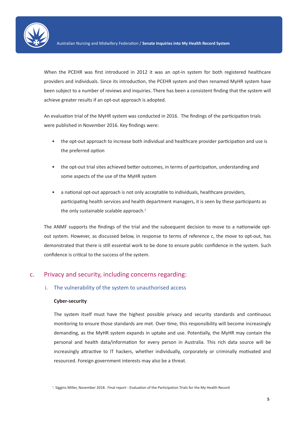

When the PCEHR was first introduced in 2012 it was an opt-in system for both registered healthcare providers and individuals. Since its introduction, the PCEHR system and then renamed MyHR system have been subject to a number of reviews and inquiries. There has been a consistent finding that the system will achieve greater results if an opt-out approach is adopted.

An evaluation trial of the MyHR system was conducted in 2016. The findings of the participation trials were published in November 2016. Key findings were:

- the opt-out approach to increase both individual and healthcare provider participation and use is the preferred option
- the opt-out trial sites achieved better outcomes, in terms of participation, understanding and some aspects of the use of the MyHR system
- a national opt-out approach is not only acceptable to individuals, healthcare providers, participating health services and health department managers, it is seen by these participants as the only sustainable scalable approach.<sup>1</sup>

The ANMF supports the findings of the trial and the subsequent decision to move to a nationwide optout system. However, as discussed below, in response to terms of reference c, the move to opt-out, has demonstrated that there is still essential work to be done to ensure public confidence in the system. Such confidence is critical to the success of the system.

### c. Privacy and security, including concerns regarding:

#### i. The vulnerability of the system to unauthorised access

#### **Cyber-security**

The system itself must have the highest possible privacy and security standards and continuous monitoring to ensure those standards are met. Over time, this responsibility will become increasingly demanding, as the MyHR system expands in uptake and use. Potentially, the MyHR may contain the personal and health data/information for every person in Australia. This rich data source will be increasingly attractive to IT hackers, whether individually, corporately or criminally motivated and resourced. Foreign government interests may also be a threat.

1. Siggins Miller, November 2018. Final report - Evaluation of the Participation Trials for the My Health Record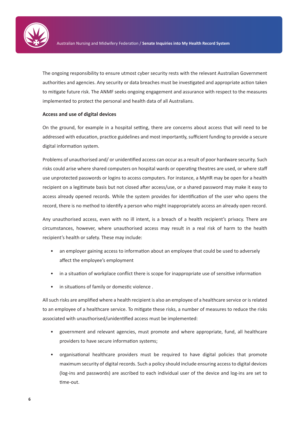

The ongoing responsibility to ensure utmost cyber security rests with the relevant Australian Government authorities and agencies. Any security or data breaches must be investigated and appropriate action taken to mitigate future risk. The ANMF seeks ongoing engagement and assurance with respect to the measures implemented to protect the personal and health data of all Australians.

#### **Access and use of digital devices**

On the ground, for example in a hospital setting, there are concerns about access that will need to be addressed with education, practice guidelines and most importantly, sufficient funding to provide a secure digital information system.

Problems of unauthorised and/ or unidentified access can occur as a result of poor hardware security. Such risks could arise where shared computers on hospital wards or operating theatres are used, or where staff use unprotected passwords or logins to access computers. For instance, a MyHR may be open for a health recipient on a legitimate basis but not closed after access/use, or a shared password may make it easy to access already opened records. While the system provides for identification of the user who opens the record, there is no method to identify a person who might inappropriately access an already open record.

Any unauthorised access, even with no ill intent, is a breach of a health recipient's privacy. There are circumstances, however, where unauthorised access may result in a real risk of harm to the health recipient's health or safety. These may include:

- an employer gaining access to information about an employee that could be used to adversely affect the employee's employment
- in a situation of workplace conflict there is scope for inappropriate use of sensitive information
- in situations of family or domestic violence .

All such risks are amplified where a health recipient is also an employee of a healthcare service or is related to an employee of a healthcare service. To mitigate these risks, a number of measures to reduce the risks associated with unauthorised/unidentified access must be implemented:

- government and relevant agencies, must promote and where appropriate, fund, all healthcare providers to have secure information systems;
- organisational healthcare providers must be required to have digital policies that promote maximum security of digital records. Such a policy should include ensuring access to digital devices (log-ins and passwords) are ascribed to each individual user of the device and log-ins are set to time-out.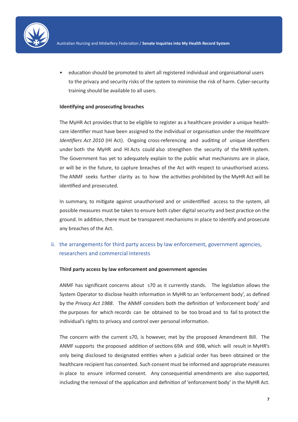

• education should be promoted to alert all registered individual and organisational users to the privacy and security risks of the system to minimise the risk of harm. Cyber-security training should be available to all users.

#### **Identifying and prosecuting breaches**

The MyHR Act provides that to be eligible to register as a healthcare provider a unique healthcare identifier must have been assigned to the individual or organisation under the *Healthcare Identifiers Act 2010* (HI Act). Ongoing cross-referencing and auditing of unique identifiers under both the MyHR and HI Acts could also strengthen the security of the MHR system. The Government has yet to adequately explain to the public what mechanisms are in place, or will be in the future, to capture breaches of the Act with respect to unauthorised access. The ANMF seeks further clarity as to how the activities prohibited by the MyHR Act will be identified and prosecuted.

In summary, to mitigate against unauthorised and or unidentified access to the system, all possible measures must be taken to ensure both cyber digital security and best practice on the ground. In addition, there must be transparent mechanisms in place to identify and prosecute any breaches of the Act.

### ii. the arrangements for third party access by law enforcement, government agencies, researchers and commercial interests

#### **Third party access by law enforcement and government agencies**

ANMF has significant concerns about s70 as it currently stands. The legislation allows the System Operator to disclose health information in MyHR to an 'enforcement body', as defined by the *Privacy Act 1988*. The ANMF considers both the definition of 'enforcement body' and the purposes for which records can be obtained to be too broad and to fail to protect the individual's rights to privacy and control over personal information.

The concern with the current s70, is however, met by the proposed Amendment Bill. The ANMF supports the proposed addition of sections 69A and 69B, which will result in MyHR's only being disclosed to designated entities when a judicial order has been obtained or the healthcare recipient has consented. Such consent must be informed and appropriate measures in place to ensure informed consent. Any consequential amendments are also supported, including the removal of the application and definition of 'enforcement body' in the MyHR Act.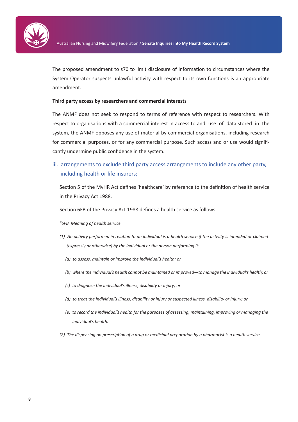

The proposed amendment to s70 to limit disclosure of information to circumstances where the System Operator suspects unlawful activity with respect to its own functions is an appropriate amendment.

#### **Third party access by researchers and commercial interests**

The ANMF does not seek to respond to terms of reference with respect to researchers. With respect to organisations with a commercial interest in access to and use of data stored in the system, the ANMF opposes any use of material by commercial organisations, including research for commercial purposes, or for any commercial purpose. Such access and or use would significantly undermine public confidence in the system.

iii. arrangements to exclude third party access arrangements to include any other party, including health or life insurers;

Section 5 of the MyHR Act defines 'healthcare' by reference to the definition of health service in the Privacy Act 1988.

Section 6FB of the Privacy Act 1988 defines a health service as follows:

- *"6FB Meaning of health service*
- *(1) An activity performed in relation to an individual is a health service if the activity is intended or claimed (expressly or otherwise) by the individual or the person performing it:*
	- *(a) to assess, maintain or improve the individual's health; or*
	- *(b) where the individual's health cannot be maintained or improved—to manage the individual's health; or*
	- *(c) to diagnose the individual's illness, disability or injury; or*
	- *(d) to treat the individual's illness, disability or injury or suspected illness, disability or injury; or*
	- *(e) to record the individual's health for the purposes of assessing, maintaining, improving or managing the individual's health.*
- *(2) The dispensing on prescription of a drug or medicinal preparation by a pharmacist is a health service.*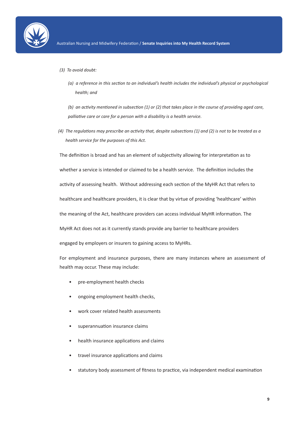

- *(3) To avoid doubt:*
	- *(a) a reference in this section to an individual's health includes the individual's physical or psychological health; and*

*(b) an activity mentioned in subsection (1) or (2) that takes place in the course of providing aged care, palliative care or care for a person with a disability is a health service.*

*(4) The regulations may prescribe an activity that, despite subsections (1) and (2) is not to be treated as a health service for the purposes of this Act.*

The definition is broad and has an element of subjectivity allowing for interpretation as to whether a service is intended or claimed to be a health service. The definition includes the activity of assessing health. Without addressing each section of the MyHR Act that refers to healthcare and healthcare providers, it is clear that by virtue of providing 'healthcare' within the meaning of the Act, healthcare providers can access individual MyHR information. The MyHR Act does not as it currently stands provide any barrier to healthcare providers engaged by employers or insurers to gaining access to MyHRs.

For employment and insurance purposes, there are many instances where an assessment of health may occur. These may include:

- pre-employment health checks
- ongoing employment health checks,
- work cover related health assessments
- superannuation insurance claims
- health insurance applications and claims
- travel insurance applications and claims
- statutory body assessment of fitness to practice, via independent medical examination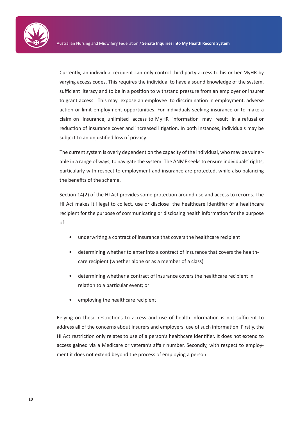

Currently, an individual recipient can only control third party access to his or her MyHR by varying access codes. This requires the individual to have a sound knowledge of the system, sufficient literacy and to be in a position to withstand pressure from an employer or insurer to grant access. This may expose an employee to discrimination in employment, adverse action or limit employment opportunities. For individuals seeking insurance or to make a claim on insurance, unlimited access to MyHR information may result in a refusal or reduction of insurance cover and increased litigation. In both instances, individuals may be subject to an unjustified loss of privacy.

The current system is overly dependent on the capacity of the individual, who may be vulnerable in a range of ways, to navigate the system. The ANMF seeks to ensure individuals' rights, particularly with respect to employment and insurance are protected, while also balancing the benefits of the scheme.

Section 14(2) of the HI Act provides some protection around use and access to records. The HI Act makes it illegal to collect, use or disclose the healthcare identifier of a healthcare recipient for the purpose of communicating or disclosing health information for the purpose of:

- underwriting a contract of insurance that covers the healthcare recipient
- determining whether to enter into a contract of insurance that covers the healthcare recipient (whether alone or as a member of a class)
- determining whether a contract of insurance covers the healthcare recipient in relation to a particular event; or
- employing the healthcare recipient

Relying on these restrictions to access and use of health information is not sufficient to address all of the concerns about insurers and employers' use of such information. Firstly, the HI Act restriction only relates to use of a person's healthcare identifier. It does not extend to access gained via a Medicare or veteran's affair number. Secondly, with respect to employment it does not extend beyond the process of employing a person.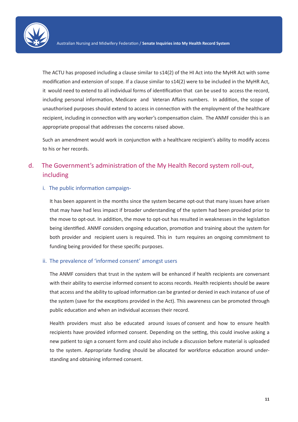

The ACTU has proposed including a clause similar to s14(2) of the HI Act into the MyHR Act with some modification and extension of scope. If a clause similar to s14(2) were to be included in the MyHR Act, it would need to extend to all individual forms of identification that can be used to access the record, including personal information, Medicare and Veteran Affairs numbers. In addition, the scope of unauthorised purposes should extend to access in connection with the employment of the healthcare recipient, including in connection with any worker's compensation claim. The ANMF consider this is an appropriate proposal that addresses the concerns raised above.

Such an amendment would work in conjunction with a healthcare recipient's ability to modify access to his or her records.

## d. The Government's administration of the My Health Record system roll-out, including

#### i. The public information campaign-

It has been apparent in the months since the system became opt-out that many issues have arisen that may have had less impact if broader understanding of the system had been provided prior to the move to opt-out. In addition, the move to opt-out has resulted in weaknesses in the legislation being identified. ANMF considers ongoing education, promotion and training about the system for both provider and recipient users is required. This in turn requires an ongoing commitment to funding being provided for these specific purposes.

#### ii. The prevalence of 'informed consent' amongst users

The ANMF considers that trust in the system will be enhanced if health recipients are conversant with their ability to exercise informed consent to access records. Health recipients should be aware that access and the ability to upload information can be granted or denied in each instance of use of the system (save for the exceptions provided in the Act). This awareness can be promoted through public education and when an individual accesses their record.

Health providers must also be educated around issues of consent and how to ensure health recipients have provided informed consent. Depending on the setting, this could involve asking a new patient to sign a consent form and could also include a discussion before material is uploaded to the system. Appropriate funding should be allocated for workforce education around understanding and obtaining informed consent.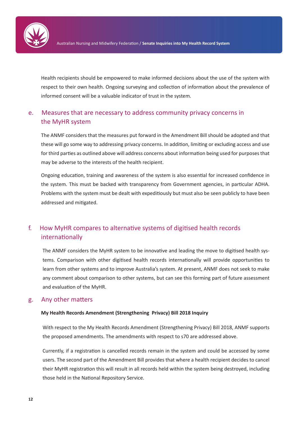

Health recipients should be empowered to make informed decisions about the use of the system with respect to their own health. Ongoing surveying and collection of information about the prevalence of informed consent will be a valuable indicator of trust in the system.

## e. Measures that are necessary to address community privacy concerns in the MyHR system

The ANMF considers that the measures put forward in the Amendment Bill should be adopted and that these will go some way to addressing privacy concerns. In addition, limiting or excluding access and use for third parties as outlined above will address concerns about information being used for purposes that may be adverse to the interests of the health recipient.

Ongoing education, training and awareness of the system is also essential for increased confidence in the system. This must be backed with transparency from Government agencies, in particular ADHA. Problems with the system must be dealt with expeditiously but must also be seen publicly to have been addressed and mitigated.

## f. How MyHR compares to alternative systems of digitised health records internationally

The ANMF considers the MyHR system to be innovative and leading the move to digitised health systems. Comparison with other digitised health records internationally will provide opportunities to learn from other systems and to improve Australia's system. At present, ANMF does not seek to make any comment about comparison to other systems, but can see this forming part of future assessment and evaluation of the MyHR.

#### g. Any other matters

#### **My Health Records Amendment (Strengthening Privacy) Bill 2018 Inquiry**

With respect to the My Health Records Amendment (Strengthening Privacy) Bill 2018, ANMF supports the proposed amendments. The amendments with respect to s70 are addressed above.

Currently, if a registration is cancelled records remain in the system and could be accessed by some users. The second part of the Amendment Bill provides that where a health recipient decides to cancel their MyHR registration this will result in all records held within the system being destroyed, including those held in the National Repository Service.